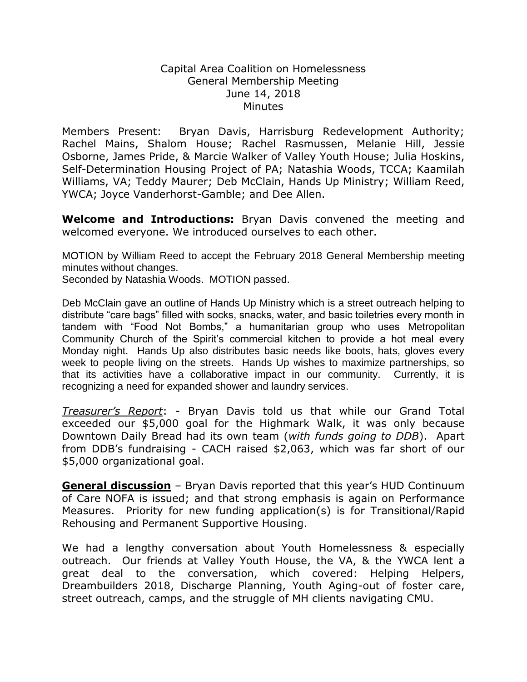## Capital Area Coalition on Homelessness General Membership Meeting June 14, 2018 **Minutes**

Members Present: Bryan Davis, Harrisburg Redevelopment Authority; Rachel Mains, Shalom House; Rachel Rasmussen, Melanie Hill, Jessie Osborne, James Pride, & Marcie Walker of Valley Youth House; Julia Hoskins, Self-Determination Housing Project of PA; Natashia Woods, TCCA; Kaamilah Williams, VA; Teddy Maurer; Deb McClain, Hands Up Ministry; William Reed, YWCA; Joyce Vanderhorst-Gamble; and Dee Allen.

**Welcome and Introductions:** Bryan Davis convened the meeting and welcomed everyone. We introduced ourselves to each other.

MOTION by William Reed to accept the February 2018 General Membership meeting minutes without changes.

Seconded by Natashia Woods. MOTION passed.

Deb McClain gave an outline of Hands Up Ministry which is a street outreach helping to distribute "care bags" filled with socks, snacks, water, and basic toiletries every month in tandem with "Food Not Bombs," a humanitarian group who uses Metropolitan Community Church of the Spirit's commercial kitchen to provide a hot meal every Monday night. Hands Up also distributes basic needs like boots, hats, gloves every week to people living on the streets. Hands Up wishes to maximize partnerships, so that its activities have a collaborative impact in our community. Currently, it is recognizing a need for expanded shower and laundry services.

*Treasurer's Report*: - Bryan Davis told us that while our Grand Total exceeded our \$5,000 goal for the Highmark Walk, it was only because Downtown Daily Bread had its own team (*with funds going to DDB*). Apart from DDB's fundraising - CACH raised \$2,063, which was far short of our \$5,000 organizational goal.

**General discussion** – Bryan Davis reported that this year's HUD Continuum of Care NOFA is issued; and that strong emphasis is again on Performance Measures. Priority for new funding application(s) is for Transitional/Rapid Rehousing and Permanent Supportive Housing.

We had a lengthy conversation about Youth Homelessness & especially outreach. Our friends at Valley Youth House, the VA, & the YWCA lent a great deal to the conversation, which covered: Helping Helpers, Dreambuilders 2018, Discharge Planning, Youth Aging-out of foster care, street outreach, camps, and the struggle of MH clients navigating CMU.